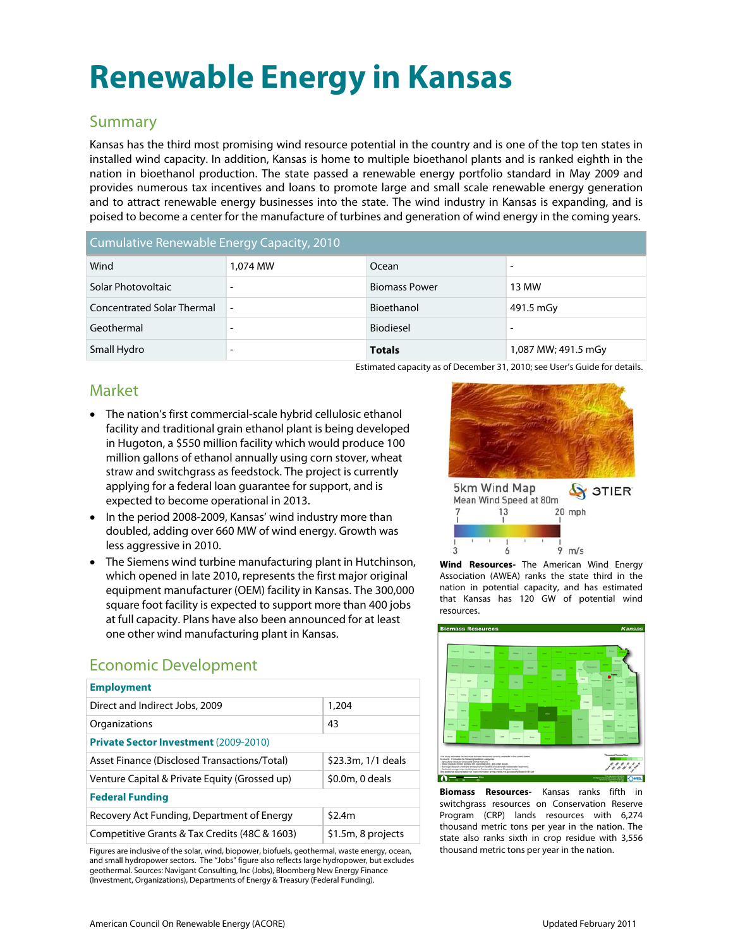# **Renewable Energy in Kansas**

### Summary

Kansas has the third most promising wind resource potential in the country and is one of the top ten states in installed wind capacity. In addition, Kansas is home to multiple bioethanol plants and is ranked eighth in the nation in bioethanol production. The state passed a renewable energy portfolio standard in May 2009 and provides numerous tax incentives and loans to promote large and small scale renewable energy generation and to attract renewable energy businesses into the state. The wind industry in Kansas is expanding, and is poised to become a center for the manufacture of turbines and generation of wind energy in the coming years.

| Cumulative Renewable Energy Capacity, 2010 |          |                      |                     |
|--------------------------------------------|----------|----------------------|---------------------|
| Wind                                       | 1,074 MW | Ocean                |                     |
| Solar Photovoltaic                         |          | <b>Biomass Power</b> | 13 MW               |
| <b>Concentrated Solar Thermal</b>          |          | Bioethanol           | 491.5 mGy           |
| Geothermal                                 |          | <b>Biodiesel</b>     |                     |
| Small Hydro                                |          | <b>Totals</b>        | 1,087 MW; 491.5 mGy |

Estimated capacity as of December 31, 2010; see User's Guide for details.

# Market

- The nation's first commercial-scale hybrid cellulosic ethanol facility and traditional grain ethanol plant is being developed in Hugoton, a \$550 million facility which would produce 100 million gallons of ethanol annually using corn stover, wheat straw and switchgrass as feedstock. The project is currently applying for a federal loan guarantee for support, and is expected to become operational in 2013.
- In the period 2008-2009, Kansas' wind industry more than doubled, adding over 660 MW of wind energy. Growth was less aggressive in 2010.
- The Siemens wind turbine manufacturing plant in Hutchinson, which opened in late 2010, represents the first major original equipment manufacturer (OEM) facility in Kansas. The 300,000 square foot facility is expected to support more than 400 jobs at full capacity. Plans have also been announced for at least one other wind manufacturing plant in Kansas.

# Economic Development

| <b>Employment</b>                             |                    |  |  |
|-----------------------------------------------|--------------------|--|--|
| Direct and Indirect Jobs, 2009                | 1,204              |  |  |
| Organizations                                 | 43                 |  |  |
| <b>Private Sector Investment (2009-2010)</b>  |                    |  |  |
| Asset Finance (Disclosed Transactions/Total)  | \$23.3m, 1/1 deals |  |  |
| Venture Capital & Private Equity (Grossed up) | $$0.0m, 0$ deals   |  |  |
| <b>Federal Funding</b>                        |                    |  |  |
| Recovery Act Funding, Department of Energy    | \$2.4m             |  |  |
| Competitive Grants & Tax Credits (48C & 1603) | \$1.5m, 8 projects |  |  |

Figures are inclusive of the solar, wind, biopower, biofuels, geothermal, waste energy, ocean, and small hydropower sectors. The "Jobs" figure also reflects large hydropower, but excludes geothermal. Sources: Navigant Consulting, Inc (Jobs), Bloomberg New Energy Finance (Investment, Organizations), Departments of Energy & Treasury (Federal Funding).





**Wind Resources-** The American Wind Energy Association (AWEA) ranks the state third in the nation in potential capacity, and has estimated that Kansas has 120 GW of potential wind resources.



**Biomass Resources-** Kansas ranks fifth switchgrass resources on Conservation Reserve Program (CRP) lands resources with 6,274 thousand metric tons per year in the nation. The state also ranks sixth in crop residue with 3,556 thousand metric tons per year in the nation.